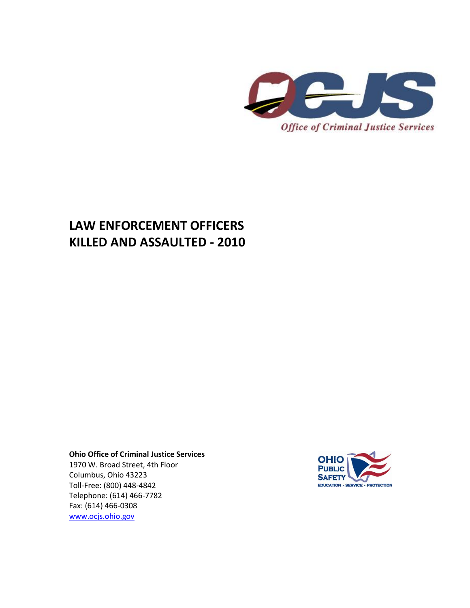

## **LAW ENFORCEMENT OFFICERS KILLED AND ASSAULTED - 2010**

**Ohio Office of Criminal Justice Services**

1970 W. Broad Street, 4th Floor Columbus, Ohio 43223 Toll-Free: (800) 448-4842 Telephone: (614) 466-7782 Fax: (614) 466-0308 [www.ocjs.ohio.gov](http://www.ocjs.ohio.gov/)

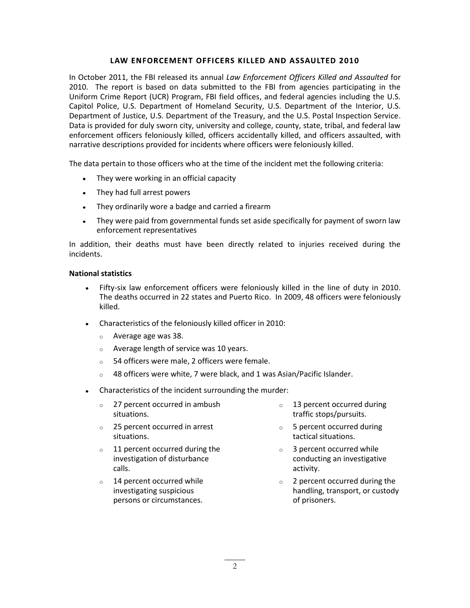## LAW ENFORCEMENT OFFICERS KILLED AND ASSAULTED 2010

In October 2011, the FBI released its annual *Law Enforcement Officers Killed and Assaulted* for 2010. The report is based on data submitted to the FBI from agencies participating in the Uniform Crime Report (UCR) Program, FBI field offices, and federal agencies including the U.S. Capitol Police, U.S. Department of Homeland Security, U.S. Department of the Interior, U.S. Department of Justice, U.S. Department of the Treasury, and the U.S. Postal Inspection Service. Data is provided for duly sworn city, university and college, county, state, tribal, and federal law enforcement officers feloniously killed, officers accidentally killed, and officers assaulted, with narrative descriptions provided for incidents where officers were feloniously killed.

The data pertain to those officers who at the time of the incident met the following criteria:

- They were working in an official capacity
- They had full arrest powers
- They ordinarily wore a badge and carried a firearm
- They were paid from governmental funds set aside specifically for payment of sworn law enforcement representatives

In addition, their deaths must have been directly related to injuries received during the incidents.

## **National statistics**

- Fifty-six law enforcement officers were feloniously killed in the line of duty in 2010. The deaths occurred in 22 states and Puerto Rico. In 2009, 48 officers were feloniously killed.
- Characteristics of the feloniously killed officer in 2010:
	- o Average age was 38.
	- o Average length of service was 10 years.
	- o 54 officers were male, 2 officers were female.
	- o 48 officers were white, 7 were black, and 1 was Asian/Pacific Islander.
- Characteristics of the incident surrounding the murder:
	- o 27 percent occurred in ambush situations.
	- o 25 percent occurred in arrest situations.
	- 11 percent occurred during the investigation of disturbance calls.
	- o 14 percent occurred while investigating suspicious persons or circumstances.
- o 13 percent occurred during traffic stops/pursuits.
- o 5 percent occurred during tactical situations.
- o 3 percent occurred while conducting an investigative activity.
- o 2 percent occurred during the handling, transport, or custody of prisoners.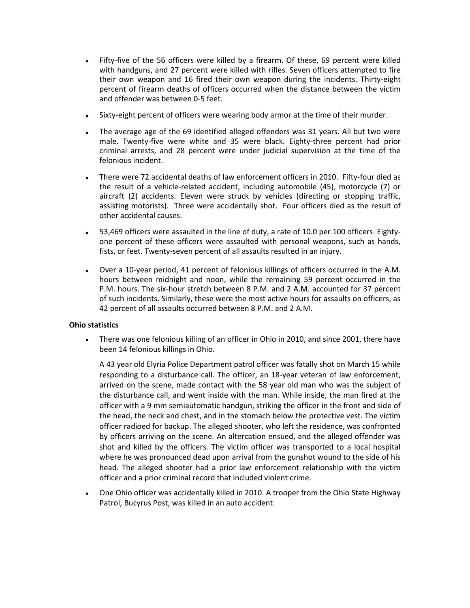- Fifty-five of the 56 officers were killed by a firearm. Of these, 69 percent were killed  $\bullet$ with handguns, and 27 percent were killed with rifles. Seven officers attempted to fire their own weapon and 16 fired their own weapon during the incidents. Thirty-eight percent of firearm deaths of officers occurred when the distance between the victim and offender was between 0-5 feet.
- Sixty-eight percent of officers were wearing body armor at the time of their murder.
- The average age of the 69 identified alleged offenders was 31 years. All but two were male. Twenty-five were white and 35 were black. Eighty-three percent had prior criminal arrests, and 28 percent were under judicial supervision at the time of the felonious incident.
- There were 72 accidental deaths of law enforcement officers in 2010. Fifty-four died as the result of a vehicle-related accident, including automobile (45), motorcycle (7) or aircraft (2) accidents. Eleven were struck by vehicles (directing or stopping traffic, assisting motorists). Three were accidentally shot. Four officers died as the result of other accidental causes.
- 53,469 officers were assaulted in the line of duty, a rate of 10.0 per 100 officers. Eighty- $\bullet$ one percent of these officers were assaulted with personal weapons, such as hands, fists, or feet. Twenty-seven percent of all assaults resulted in an injury.
- Over a 10-year period, 41 percent of felonious killings of officers occurred in the A.M.  $\bullet$ hours between midnight and noon, while the remaining 59 percent occurred in the P.M. hours. The six-hour stretch between 8 P.M. and 2 A.M. accounted for 37 percent of such incidents. Similarly, these were the most active hours for assaults on officers, as 42 percent of all assaults occurred between 8 P.M. and 2 A.M.

## **Ohio statistics**

There was one felonious killing of an officer in Ohio in 2010, and since 2001, there have been 14 felonious killings in Ohio.

A 43 year old Elyria Police Department patrol officer was fatally shot on March 15 while responding to a disturbance call. The officer, an 18-year veteran of law enforcement, arrived on the scene, made contact with the 58 year old man who was the subject of the disturbance call, and went inside with the man. While inside, the man fired at the officer with a 9 mm semiautomatic handgun, striking the officer in the front and side of the head, the neck and chest, and in the stomach below the protective vest. The victim officer radioed for backup. The alleged shooter, who left the residence, was confronted by officers arriving on the scene. An altercation ensued, and the alleged offender was shot and killed by the officers. The victim officer was transported to a local hospital where he was pronounced dead upon arrival from the gunshot wound to the side of his head. The alleged shooter had a prior law enforcement relationship with the victim officer and a prior criminal record that included violent crime.

One Ohio officer was accidentally killed in 2010. A trooper from the Ohio State Highway Patrol, Bucyrus Post, was killed in an auto accident.